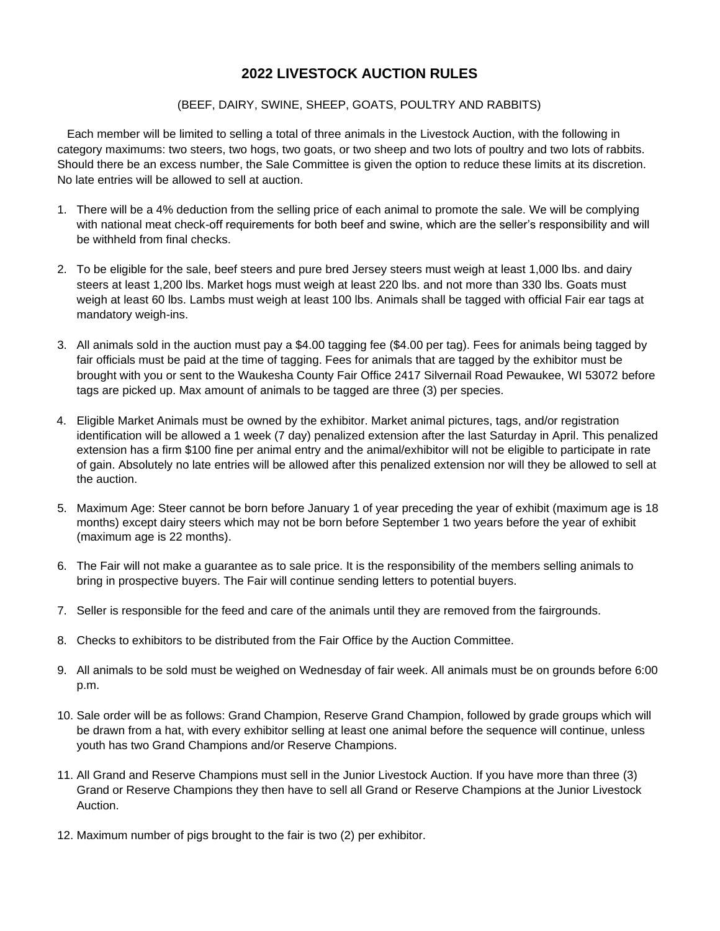## **2022 LIVESTOCK AUCTION RULES**

## (BEEF, DAIRY, SWINE, SHEEP, GOATS, POULTRY AND RABBITS)

 Each member will be limited to selling a total of three animals in the Livestock Auction, with the following in category maximums: two steers, two hogs, two goats, or two sheep and two lots of poultry and two lots of rabbits. Should there be an excess number, the Sale Committee is given the option to reduce these limits at its discretion. No late entries will be allowed to sell at auction.

- 1. There will be a 4% deduction from the selling price of each animal to promote the sale. We will be complying with national meat check-off requirements for both beef and swine, which are the seller's responsibility and will be withheld from final checks.
- 2. To be eligible for the sale, beef steers and pure bred Jersey steers must weigh at least 1,000 lbs. and dairy steers at least 1,200 lbs. Market hogs must weigh at least 220 lbs. and not more than 330 lbs. Goats must weigh at least 60 lbs. Lambs must weigh at least 100 lbs. Animals shall be tagged with official Fair ear tags at mandatory weigh-ins.
- 3. All animals sold in the auction must pay a \$4.00 tagging fee (\$4.00 per tag). Fees for animals being tagged by fair officials must be paid at the time of tagging. Fees for animals that are tagged by the exhibitor must be brought with you or sent to the Waukesha County Fair Office 2417 Silvernail Road Pewaukee, WI 53072 before tags are picked up. Max amount of animals to be tagged are three (3) per species.
- 4. Eligible Market Animals must be owned by the exhibitor. Market animal pictures, tags, and/or registration identification will be allowed a 1 week (7 day) penalized extension after the last Saturday in April. This penalized extension has a firm \$100 fine per animal entry and the animal/exhibitor will not be eligible to participate in rate of gain. Absolutely no late entries will be allowed after this penalized extension nor will they be allowed to sell at the auction.
- 5. Maximum Age: Steer cannot be born before January 1 of year preceding the year of exhibit (maximum age is 18 months) except dairy steers which may not be born before September 1 two years before the year of exhibit (maximum age is 22 months).
- 6. The Fair will not make a guarantee as to sale price. It is the responsibility of the members selling animals to bring in prospective buyers. The Fair will continue sending letters to potential buyers.
- 7. Seller is responsible for the feed and care of the animals until they are removed from the fairgrounds.
- 8. Checks to exhibitors to be distributed from the Fair Office by the Auction Committee.
- 9. All animals to be sold must be weighed on Wednesday of fair week. All animals must be on grounds before 6:00 p.m.
- 10. Sale order will be as follows: Grand Champion, Reserve Grand Champion, followed by grade groups which will be drawn from a hat, with every exhibitor selling at least one animal before the sequence will continue, unless youth has two Grand Champions and/or Reserve Champions.
- 11. All Grand and Reserve Champions must sell in the Junior Livestock Auction. If you have more than three (3) Grand or Reserve Champions they then have to sell all Grand or Reserve Champions at the Junior Livestock Auction.
- 12. Maximum number of pigs brought to the fair is two (2) per exhibitor.